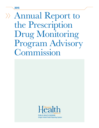2015

# Annual Report to the Prescription Drug Monitoring Program Advisory Commission



Oregon Violent Death Reporting System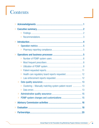# Contents

| $\gg$ |                                                                   |  |  |  |  |  |
|-------|-------------------------------------------------------------------|--|--|--|--|--|
| $\gg$ |                                                                   |  |  |  |  |  |
|       | $\gg$                                                             |  |  |  |  |  |
|       | $\rangle$                                                         |  |  |  |  |  |
| $\gg$ |                                                                   |  |  |  |  |  |
|       | $\left\langle \right\rangle$                                      |  |  |  |  |  |
|       |                                                                   |  |  |  |  |  |
|       |                                                                   |  |  |  |  |  |
|       | $\gg$                                                             |  |  |  |  |  |
|       | $\gg$                                                             |  |  |  |  |  |
|       | $\gg$                                                             |  |  |  |  |  |
|       | $\gg$                                                             |  |  |  |  |  |
|       | $\gg$                                                             |  |  |  |  |  |
|       |                                                                   |  |  |  |  |  |
|       | $\gg$                                                             |  |  |  |  |  |
|       | Clustering – Manually matching system patient record  13<br>$\gg$ |  |  |  |  |  |
|       | $\gg$                                                             |  |  |  |  |  |
|       |                                                                   |  |  |  |  |  |
|       |                                                                   |  |  |  |  |  |
|       |                                                                   |  |  |  |  |  |
|       |                                                                   |  |  |  |  |  |
|       |                                                                   |  |  |  |  |  |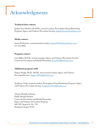# <span id="page-4-0"></span>Acknowledgments

#### Technical data contact:

Joshua Van Otterloo, M.S.P.H., research analyst, Prescription Drug Monitoring Program, Injury and Violence Prevention Section, [Joshua.Vanotterloo@state.or.us](mailto:Joshua.Vanotterloo@state.or.us)

#### Media contact:

Susan Wickstrom, communications analyst, [Susan.D.Wickstrom@state.or.us](mailto:Susan.D.Wickstrom@state.or.us), 971-673-0892

#### Program contact:

Lisa Millet, M.S.H., section manager, Injury and Violence Prevention Section, Center for Prevention and Health Promotion, [Lisa.M.Millet@state.or.us](mailto:Lisa.M.Millet@state.or.us)

#### Additional program staff:

Dagan Wright, Ph.D., M.P.H., lead research analyst, Injury and Violence PreventionSection, [Dagan.A.Wright@state.or.us](mailto:Dagan.A.Wright@state.or.us)

Stephanie Vesik, program analyst, Prescription Drug Monitoring Program, Injury and Violence Prevention Section, [Stephanie.G.Vesik@state.or.us](mailto:Stephanie.G.Vesik@state.or.us)

Oregon Health Authority Public Health Division Center for Prevention and Health Promotion Injury and Violence Prevention Program 800 NE Oregon St. Ste. 730 Portland, Oregon 97232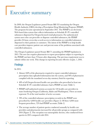# <span id="page-5-0"></span>Executive summary

In 2009, the Oregon Legislature passed Senate Bill 355 mandating the Oregon Health Authority (OHA) develop a Prescription Drug Monitoring Program (PDMP). The program became operational in September 2011. The PDMP is an electronic, Web-based data system that collects information on Schedule II–IV controlled substances dispensed by Oregon-licensed retail pharmacies. For authenticated system users who can prescribe or dispense controlled substances, the PDMP provides 24-hour, seven-day-a-week access to information on controlled substances dispensed to their patients or customers. The intent of the PDMP is to help health care providers improve patient care and prevent some of the problems associated with controlled substances.

The Oregon Legislature passed Senate Bill 71 amending the PDMP legislation in 2015. The new law requires pharmacies to report prescriptions subject to reporting in the PDMP, not later than 72 hours after dispensing. The previous requirement was to submit within one week. This change in reporting became effective on Jan. 1, 2016.

#### **Findings**

In 2015:

- Almost 100% of the pharmacies required to report controlled substance prescription data uploaded information into the system, and 96% of pharmacies complied with the mandated seven-day statutory limit for reporting.
- 48% of all Oregon-licensed health care providers who prescribed at least one Schedule II–IV controlled substance had a PDMP account (Table 1).
- PDMP staff authorized systems accounts for 124 health care providers in states bordering Oregon (California, Idaho and Washington). These accounts represent 1% of the total number of active accounts.
- 78% of the controlled substance prescription records in the PDMP were prescribed by 4,000 health care providers (Figure 2). Of these 4,000 most frequent prescribers, 72% had PDMP accounts (Table 2).
- The average number of patient queries conducted annually by health care providers and pharmacists increased for all provider groups as compared with 2014 (Figure 3). The exception was naturopathic doctors, who conducted fewer queries in 2015 compared with 2014.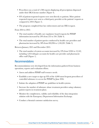- <span id="page-6-0"></span>• Prescribers ran a total of 1,788 reports displaying all prescriptions dispensed under their DEA license number (Figure 4).
- 81% of patient-requested reports were sent directly to patients. More patientrequested reports were sent to a third-party provider at the patients' requests as compared to 2014 (Figure 5).
- The program completed four law enforcement and one DEA request.

From 2014 to 2015:

- The total number of health care regulatory board requests for PDMP information increased by 24% from 255 to 316 (Table 4).
- The total number of patient queries conducted by health care providers and pharmacists increased by 38% from 810,996 to 1,118,201 (Table 3).

Between January 2015 and December 2015:

• The total number of system accounts increased by 23% from 9,904 to 12,142, including 1,054 delegate accounts for health care provider and pharmacist office staff (Figure 1).

#### Recommendations

Recommendations were developed from the information gathered from business operations, reports and evaluation efforts.

- Assess and address PDMP staff resource needs.
- Establish a new target to sign up 95% of the 4,000 most frequent prescribers of controlled substance to access the PDMP by June 2016.
- Initiate the adoption of PDMP use guidelines in health systems.
- Increase the number of substance abuse treatment providers using voluntary patient reports in treatment plans.
- Monitor the completeness, validity and reliability of the data integration solution with the Emergency Department Information Exchange.
- Conduct a biennial customer satisfaction survey.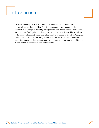# <span id="page-7-0"></span>Introduction

Oregon statute requires OHA to submit an annual report to the Advisory Commission regarding the PDMP. This report contains information on the operation of the program including basic program and system metrics, status on key objectives, and findings from various program evaluation activities. The overall goal of this report is to provide information to guide the operation of the PDMP program, assess PDMP utilization, answer questions about the impact of PDMP information on clinical practice and patient outcomes, and, if possible, determine what affects the PDMP system might have on community health.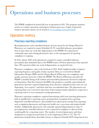# <span id="page-8-0"></span>Operations and business processes

The PDMP completed its fourth full year of operation in 2015. The program monitors metrics to evaluate operations and improve business processes. Copies of quarterly business operation reports can be found at [www.orpdmp.com/reports.html.](http://www.orpdmp.com/reports.html)

### Operation metrics

#### Pharmacy reporting compliance

Retail pharmacies with controlled substance licenses issued by the Oregon Board of Pharmacy are required to report Schedules II–IV controlled substance prescription data no later than one week after dispensation to the PDMP. New pharmacies continually open and existing pharmacies close, so the management of reporting compliance is ongoing.

In 2015, almost 100% of the pharmacies required to report controlled substance prescription data submitted data to the PDMP system. Of those pharmacies that reported data, 96% reported within one week of dispensation, as required by law.

Pharmacy compliance came to the forefront in 2015. Staff completed audits to improve reporting frequency and quality of data reported. Data are received from Health Information Designs (HID) and the Oregon Board of Pharmacy for compliance and quality assurance processes within the PDMP. The Board of Pharmacy provides the PDMP a monthly listing of all resident and nonresident pharmacies licensed to dispense to Oregonians. That list is shared with HID, who produces a monthly report listing the pharmacies that have reported dispensing, those that have submitted notices they are not dispensing ("zero reports") and those that have not submitted data. The pharmacies not reporting data were reviewed to determine if they had previously submitted a request for a reporting waiver or were among the exempt pharmacies.

Pharmacy reporting compliance required determining which non-reporting pharmacies held or qualified for a reporting waiver granting them exemption from reporting dispensed-controlled substances. Also included were pharmacies exempt from reporting such as inpatient pharmacies and long-term health care, corrections and student health facilities. Additionally, pharmacies who annually reported dispensing fewer than 16 prescriptions for controlled substances were contacted by telephone to discuss if they would qualify for a reporting waiver. The number of waived pharmacies and those designated as exempt increased from 47 at the beginning of 2015 to 172. The 172 pharmacies included those that hold a license to dispense Schedule II-IV drugs but do not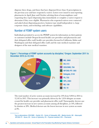<span id="page-9-0"></span>dispense these drugs, and those that have dispensed fewer than 16 prescriptions in the previous year and have requested a waiver. Letters were issued to non-reporting pharmacies in April, June and October advising them of noncompliance and requesting they report dispensing data immediately or complete a waiver request to determine if they were eligible. Pharmacies who requested waivers were contacted and asked about dispensing practices, business type (small independent vs. large corporate chain), and technology and software capabilities.

#### Number of PDMP system users

Individuals permitted to access the PDMP system for information on their patients or customers include Oregon-licensed health care providers and pharmacists and their delegated office staff; health care providers licensed in California, Idaho and Washington and their delegated office staff; and the state medical examiner and designees of the state medical examiner.





The total number of active system accounts increased by 23% from 9,904 in 2014 to 12,142 in 2015. This increase was primarily driven by the 1,054 delegate accounts created for health care provider and pharmacist office staff. Naturopathic doctors saw the greatest increase in new system accounts among all disciplines, at 54%, followed by dentists at 28%. Medical doctors saw the lowest increase in new system accounts at 8%.

<sup>\*</sup>Key to abbreviations: DDS/DMD – Dentist; DO – Doctor of Osteopathy; MD – Medical doctor; ND – Naturopath; NP/CNS-PP – Nurse; OD – Doctor of Optometry; PA – Physician assistant; RPh – Pharmacist.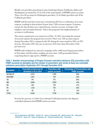Health care providers practicing in states bordering Oregon (California, Idaho and Washington) accounted for 1% (n=124) of the total number of PDMP system accounts. There were 66 accounts for Washington providers, 21 for Idaho providers and 18 for California providers.

PDMP staff devoted three hours per week during 2015 for re-verification of account requests, resulting in deactivation of more than 1,200 account requests. Common reasons for deactivation were expired license, inactive account, no longer with employer and surrendered license. This is the program's first implementation of account re-verifications.

The notary requirement was removed as of Oct. 19, 2015, increasing the amount of account requests the program has received. There were 338 account requests during November 2015, compared with 181 during the same month in 2014, an 87% increase. December 2015 also saw an increase of 63 more than December of the previous year.

PDMP staff conducted an outreach campaign of the 4,000 most frequent prescribers in November and December, mailing out more than 1,200 personalized letters requesting them to sign up for a PDMP account.

#### Table 1. Number and percentage of Oregon-licensed controlled substance (CS) prescribers with PDMP accounts by discipline and the number of prescribers who wrote at least one controlled substance prescription September 2011 through December 2015

| Discipline*    | <b>Prescribed at least one CS</b><br>(Schedule II-IV) in 2014 | <b>Prescribers with</b><br>system accounts | <b>Percentage of CS prescribers with</b><br><b>PDMP</b> accounts |
|----------------|---------------------------------------------------------------|--------------------------------------------|------------------------------------------------------------------|
| NP/CNS-PP      | 2,072                                                         | 1,365                                      | 66%                                                              |
| DDS/DMD        | 2,461                                                         | 794                                        | 32%                                                              |
| D <sub>0</sub> | 791                                                           | 513                                        | 65%                                                              |
| <b>MD</b>      | 8,889                                                         | 3,900                                      | 44%                                                              |
| <b>ND</b>      | 393                                                           | 199                                        | 51%                                                              |
| PA             | 1,224                                                         | 755                                        | 62%                                                              |
| 0D             | 69                                                            | 10                                         | 15%                                                              |
| <b>TOTAL</b>   | 15,881                                                        | 7,536                                      | 48%                                                              |

Seventy-five percent, or 2,463 of an estimated 3,300 pharmacists who dispense controlled substances had PDMP system accounts.

<sup>\*</sup>Key to abbreviations: DDS/DMD – Dentist; DO – Doctor of Osteopathy; MD – Medical doctor; ND – Naturopath; NP/CNS-PP – Nurse; OD – Doctor of Optometry; PA – Physician assistant; RPh – Pharmacist.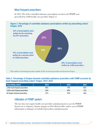#### <span id="page-11-0"></span>Most frequent prescribers

In 2014, 78% of the controlled substance prescription records in the PDMP were prescribed by 4,000 health care providers (Figure 2).





\*The number of remaining prescribers includes 30,192 out-of-state prescribers not licensed in Oregon.

#### Table 2. Percentage of Oregon-licensed controlled substance prescribers with PDMP accounts by most frequent prescribing cohort: Oregon, 2013–2015

| <b>Prescribing cohort</b>       | 2013 | 2014 | 2015 |
|---------------------------------|------|------|------|
| 2,000 most frequent prescribers | 66%  | 74%  | 80%  |
| 4,000 most frequent prescribers | 58%  | 66%  | 72%  |
| All Oregon-licensed prescribers | 37%  | 42%  | 48%  |

#### Utilization of PDMP system

The law does not require health care providers and pharmacists to use the PDMP. System use is voluntary. Statute changes in 2014 allowed office staff to access PDMP information as delegates on behalf of prescribers and pharmacists.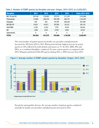| <b>Discipline</b>   | 2012    | 2013    | 2014    | 2015      | <b>Totals 2012-2015</b> |
|---------------------|---------|---------|---------|-----------|-------------------------|
| MD, PA and DO       | 207,140 | 279,920 | 257,614 | 271,232   | 1,015,906               |
| <b>Pharmacists</b>  | 21,899  | 265,079 | 365,598 | 480,731   | 1,133,307               |
| <b>Delegates</b>    | N/A     | N/A     | 95,198  | 266,300   | 361,498                 |
| NP/CNS-PP           | 47,621  | 67,677  | 80,306  | 85,512    | 281,116                 |
| DDS/DMD             | 3,706   | 6,243   | 7,750   | 8,344     | 26,043                  |
| <b>ND</b>           | 1,289   | 2,651   | 4,530   | 4,067     | 12,537                  |
| <b>Optometrists</b> | 0       | 0       | 0       | 0         | 0                       |
| <b>TOTAL</b>        | 281,655 | 621,570 | 810,996 | 1,116,186 | 2,830,407               |

#### Table 3. Number of PDMP queries by discipline and year: Oregon, 2012–2015, (n=2,830,407)

The total number of patient queries by health care providers and pharmacists increased by 38% from 2014 to 2015. Pharmacists had the highest increase in system queries at 32%, followed by both dentists and nurses at 7%. In 2015, MDs, PAs and DOs, as a combined discipline, conducted 5% more system queries as compared with 2014. Delegates performed 266,300 queries during 2015, a 180% increase from 2014.

#### Figure 3. Average number of PDMP system queries by discipline: Oregon, 2013–2015



Except for naturopathic doctors, the average number of patient queries conducted annually by health care providers and pharmacists increased in 2015.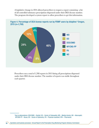A legislative change in 2014 allowed prescribers to request a report containing a list of all controlled substance prescriptions dispensed under their DEA license number. The program developed a system report to allow prescribers to get this information.





Prescribers ran a total of 1,788 reports in 2015 listing all prescriptions dispensed under their DEA license number. The number of reports was stable throughout each quarter.

<sup>\*</sup>Key to abbreviations: DDS/DMD – Dentist; DO – Doctor of Osteopathy; MD – Medical doctor; ND – Naturopath; NP/CNS-PP – Nurse; OD – Doctor of Optometry; PA – Physician assistant; RPh – Pharmacist.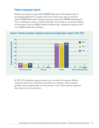#### <span id="page-14-0"></span>Patient-requested reports

Patients may request a copy of their PDMP information. This includes a list of prescriptions dispensed to a patient and a list of system users who accessed the patient's PDMP information. Patients may also request their PDMP information be sent to a third party, such as a behavioral health care provider or an attorney. Patient record requests must be fulfilled within 10 business days. All patient requests in 2015 were fulfilled within this timeframe.



#### Figure 5. Number of patient-requested reports by recipient type: Oregon, 2013–2015

In 2015, 81% of patient-requested reports were sent directly to patients. Patientrequested reports sent to third-party providers (e.g., substance abuse treatment providers) has remained stable over the past three years. Three patients requested their reports be sent to attorneys.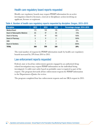#### <span id="page-15-0"></span>Health care regulatory board reports requested

Health care regulatory boards may request PDMP information for an active investigation related to licensure, renewal or disciplinary action involving an applicant, licensee or registrant.

| <b>Discipline</b>                     | 2013 | 2014 | 2015           | Percentage change: 2014-2015 |
|---------------------------------------|------|------|----------------|------------------------------|
| <b>Medical Board</b>                  | 175  | 144  | 176            | 22%                          |
| <b>Board of Naturopathic Medicine</b> | 65   | 47   | 40             | $-15%$                       |
| <b>Board of Nursing</b>               | 51   | 41   | 105            | 156%                         |
| <b>Board of Pharmacy</b>              | 5    | 0    | $\overline{2}$ | 100%                         |
| <b>EMS</b>                            | 3    | 2    | 2              | $0\%$                        |
| <b>Board of Dentistry</b>             |      |      | 3              | 200%                         |
| <b>TOTAL</b>                          | 300  | 255  | 328            | 29%                          |

#### Table 4. Number of health care regulatory reports requested by discipline: Oregon, 2013–2015

The total number of requests for PDMP information made by health care regulatory boards increased by 29% from 2014 to 2015.

#### Law enforcement reports requested

Federal, state or local law enforcement agencies engaged in an authorized drugrelated investigation may request PDMP information on the individual being investigated. A valid court order based on probable cause is required as part of the request. The program forwards all law enforcement requests for PDMP information to the Department of Justice for review.

The program completed four law enforcement requests and one DEA request in 2015.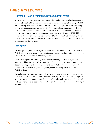## <span id="page-16-0"></span>Data quality assurance

#### Clustering – Manually matching system patient record

Accuracy in matching patient records is essential for clinicians monitoring patients at risk for adverse health events due to their use or misuse of prescription drugs. PDMP staff manually match records within the system through a process called clustering. Adding the patient gender variable during 2014 created many patient records that were not linked, but should have been. To rectify this, a gender-neutral clustering algorithm was moved into the production environment in November 2014. This corrected the problem, but resulted in almost 29,000 records left to manually cluster. PDMP staff have worked to reduce this number to around 10,000 records remaining to cluster at the close of 2015.

#### Data errors

On average, 822 pharmacies report data to the PDMP monthly. HID provides the PDMP with a weekly report of prescription entries that have been rejected during the upload process of data from pharmacy to vendor.

These error reports are carefully reviewed for frequency of errors by type and pharmacy. There are 30 possible entry errors that can occur with each prescription dispensed, categorized by severity of error type, including minor, severe and fatal. Fatal errors are those that prevent a prescription from being recorded in the PDMP system.

Each pharmacy with errors is granted time to make corrections and many resubmit with corrections. In 2015, the PDMP worked with reporting pharmacies to improve response to rejection reports through phone calls and emails that provided technical and customer service support and education on the need for data accuracy starting at the pharmacy.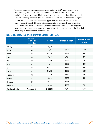The most common error among pharmacy data was DEA numbers not being recognized by their DEA table. With more than 11,000 instances in 2015, the majority of these errors were likely caused by a mistype in entering. There was still a monthly average of nearly 200 DEA entries that were obviously generic or "quick entries" of 999999999 or MD9999999 types. The next-most-common data entry errors were ZIP code fields being left blank or entered incorrectly and conflicting with known ZIP codes. These errors, while not fatal and resulting in missing data, do represent future compliance issues to be addressed with pharmacies and the Board of Pharmacy to strive for more accurate data.

|                    | <b>Number of</b><br><b>pharmacies</b><br>reporting | <b>Rx count</b> | <b>Number of errors</b> | <b>Number of fatal</b><br>errors |
|--------------------|----------------------------------------------------|-----------------|-------------------------|----------------------------------|
| January            | 823                                                | 582,506         |                         |                                  |
| February           | 815                                                | 540,074         | 3,822                   | 262                              |
| March              | 823                                                | 595,414         | 4,732                   | 152                              |
| April              | 834                                                | 603,347         | 3,181                   | 170                              |
| May                | 829                                                | 635,376         | 3,036                   | 98                               |
| June               | 831                                                | 644,386         | 3,005                   | 106                              |
| July               | 833                                                | 647,121         | 2,831                   | 264                              |
| August             | 821                                                | 619,102         | 4,656                   | 629                              |
| September          | 822                                                | 632,086         | 2,451                   | 95                               |
| October            | 827                                                | 649,866         | 5,055                   | 154                              |
| November           | 811                                                | 605,538         | 1,448                   | 52                               |
| December           | 823                                                | 660,975         | 4,950                   | 382                              |
| Year-to-date total | Average $= 824$                                    | 7,415,791       | 39,167                  | 2,364                            |

#### Table 5. Pharmacy data errors by month, Oregon PDMP, 2015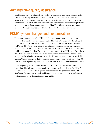## <span id="page-18-0"></span>Administrative quality assurance

Quality assurance for administrative tasks was completed and tracked during 2015. Electronic tracking databases for account, board, patient and law enforcement requests were reviewed, as were physical requests. Error rates were very low. Many months saw a 0% error rate. The most common error found was account requests that were not authorized and should have been. PDMP staff have implemented measures to reduce this business process problem. A total of 818 requests were reviewed.

### PDMP system changes and customizations

The program's system vendor, HID, failed to meet some contract obligations to produce deliverables requested during 2015. The PDMP worked with the Office of Contracts and Procurement to write a "cure letter" to the vendor, which was sent on Dec.16, 2015. This was a letter of expectation outlining the need for proposed completion dates for all deliverables. A meeting was held with the Office of Contracts and Procurement, the PDMP manager and program staff, and HID, to inform them this letter would be delivered. As a result, the program has received estimated dates of completion for all deliverables and two of the deliverables have been completed. The Jackson County prescriber dashboard, our largest project, was completed by Jan. 30, 2016 and is being tested by PDMP staff before release to the production environment.

The Oregon Legislature passed Senate Bill 71 in 2015 to amend the PDMP legislation. The bill requires pharmacies to report prescription data to the PDMP not later than 72 hours after dispensing a prescription drug subject to the PDMP. Staff worked to complete the rulemaking process, contract amendment and system customization to put this in effect by Jan. 1, 2016.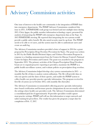# <span id="page-19-0"></span>Advisory Commission activities

One issue of interest to the health care community is the integration of PDMP data into emergency departments. The PDMP Advisory Commission considered this issue in 2015. A PDMP/EDIE work group was formed and met multiple times during 2015. Chris Apgar, the public member information technology expert, presented his analysis of integrating the PDMP with emergency department data at the Sept. 16, 2015 PDMP/EDIE meeting. He reported that integrating the two systems would provide a public safety benefit. He also noted security must be up front. The PDMP needs to be able to vet users, and the system must be able to authenticate users and create an audit log.

The Advisory Commission members provided a letter of support in 2014 for a grant proposal for Prescription Drug Overdose Prevention for States. The grant was written in 2015 by the Public Health Division's Injury and Violence Prevention Program in response to a funding announcement from the Centers for Disease Control's National Center for Injury Prevention and Control. The grant was awarded to the program in September 2015. The primary activities of the Oregon Prescription Drug Overdose Grant are to expand proactive reporting to providers, maximize the PDMP as a public health surveillance system, and evaluate policies on prescription drug overdose.

The Advisory Commission helped develop a key system customization in 2015 – a monthly flat file of data to analyze system utilization. The file will provide data on who ran queries and the dates of those queries, and enable the PDMP system to collect health care provider practice specialty information. The program received its first file of system use in October 2015, with monthly files thereafter.

The Advisory Commission recommended collecting practice specialty information since board certification and licensure practice designations do not necessarily reflect the settings where health care providers work. The Advisory Commission determined a consolidated pick list of approximately 30 provider specialties would capture most practice settings. PDMP staff will use this information to target outreach and tailor training for prescribers. The vendor has given the program a target date for completion of Feb. 17, 2017.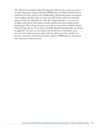The Advisory Commission helped the program refine its data request procedures to ensure all projects using de-identified PDMP data meet Public Health Division standards of security, privacy and confidentiality. All potential project participants must complete and sign a data use agreement (DUA) that outlines the proposed project and lists the allowable uses of the data. Proposed projects are reviewed by Injury and Violence Prevention scientific staff for merit and feasibility before finalizing the DUA. Proposed projects may also be reviewed by the Public Health Division Project Review Team and/or the Public Health Institutional Review Board as applicable. The processes developed with the Advisory Commission ensure research and evaluation projects align with state efforts and with scientific best practices, and deliver information needed to improve PDMP efficacy, and patient and community health outcomes.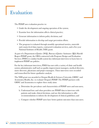# <span id="page-21-0"></span>Evaluation

The PDMP uses evaluation practice to:

- Guide the development and ongoing operation of the system;
- Examine how the information affects clinical practice;
- Generate information to inform policy decisions; and
- Provide information to develop and target prevention efforts.
- The program is evaluated through monthly operational metrics, statewide and county-level data reports, contracted evaluation services, and a five-year National Institutes of Health (NIH) grant.

As part of a Department of Justice (DOJ), Bureau of Justice Assistance (BJA) Harold Rogers PDMP grant, the OHA contracted with Program Design and Evaluation Services (PDES) to conduct health system key informant interviews to learn how to implement PDMP use policies.

For the key informant interviews, PDES has met with a variety of clinic and health system administrative staff such as quality improvement managers, medical directors, nurse directors, physicians and project managers. These interviews were recorded and transcribed for future qualitative analysis.

The NIH grant was awarded to Oregon Health & Sciences University (OHSU) and Acumentra Health, Inc. to evaluate Oregon's PDMP. The PDMP partners with OHSU and Acumentra to explore three study aims:

- a. Determine the prevalence and characteristics of PDMP users and non-users;
- b. Understand how and when providers use PDMP data to intervene with patients and make clinical decisions, and use this information to offer recommendations to inform the development of clinical guidelines; and
- c. Compare whether PDMP users have better patient outcomes than non-users.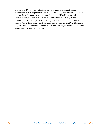The work for 2015 focused on the third aim to prepare data for analysis and develop code to explore patient outcomes. The team analyzed dispensation patterns associated with incidence of overdose and the impact of PDMP use on clinical practice. Findings will be used to assess the utility of the PDMP, target outreach, and tailor education campaigns and training tools. An article titled "Leading a Horse to Water: Facilitating Registration and Use of a Prescription Drug Monitoring Program" was published in November 2014 in The Clinical Journal of Pain. Another publication is currently under review.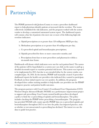# <span id="page-23-0"></span>Partnerships

The PDMP partnered with Jackson County to create a prescriber dashboard report to help physicians identify patients at increased risk for overdose. The teams collectively established the risk indicators, and the program worked with the system vendor to develop a customized automated system report. The dashboard reports will contain a line list of patients who meet one or more of the following high-risk overdose indicators:

- a. Opioid prescriptions at or greater than 120 milligrams MED per day;
- b. Methadone prescriptions at or greater than 40 milligrams per day;
- c. Co-prescribed opioid and benzodiazepine prescriptions;
- d. Opioids prescribed for three or more consecutive months; and
- e. Prescriptions from four or more prescribers and pharmacies within a six-month time frame.

Dashboards will denote which indicators were met for each patient listed. The names of the patients will be hyperlinked so a system user can click on the name to pull up a detailed six-month report to examine potential risk factors. This system was expected to be implemented in 2015, but due to an extended delay by the system vendor, was completed Jan. 30, 2016. In the interim, PDMP staff manually created 14 prescriber dashboard reports for health care providers who indicated they wanted to participate. Feedback on these initial reports was very positive. In addition, the program developed three online training modules to help health care providers use the PDMP to improve practice and patient health outcomes.

The program partners with Coos County's Coordinated Care Organization (CCO) Western Oregon Advanced Health (WOAH) on a performance improvement project to support safe prescribing. Coos County mental health prescribers developed a policy to limit the co-prescribing of opioids and benzodiazepines. The policy includes checking the PDMP before prescribing a benzodiazepine. The program has provided WOAH with county-specific PDMP data on co-prescribed opioids and benzodiazepines throughout 2015 to see how the policy has impacted practice, such as whether or not unwarranted co-prescribing has declined. The intent is to use the data to guide best practice.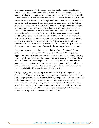The program partners with the Oregon Coalition for Responsible Use of Meds (OrCRM) to promote PDMP use. The OrCRM is a statewide coalition launched to prevent overdose, misuse and abuse of amphetamines, benzodiazepines and opioids among Oregonians. Coalition representation includes leaders from state agencies and nonprofits whose work takes place throughout the entire state. Shared areas of work include the implementation of prescribing guidelines, increased use of the PDMP, patient education on the dangers of prescriptions drugs, the promotion of non-opioid pain management strategies, and improved access to addictions treatment services. The OrCRM convened a series of regional summits during 2015 to assess the scope of the problems associated with controlled substances and the various efforts to address these problems. PDMP staff attended these meetings in Redmond, La Grande and the Portland metro area, and gave presentations, shared data, offered policy advice and discussed strategies with the PDMP, and assisted health care providers with sign up and use of the system. PDMP staff created a special year-todate report with a focus on central Oregon for the meeting in Redmond in October.

The program partners with the Centers for Disease Control's National Center for Injury Prevention and Control (Injury Center). The Injury Center provides support and technical assistance to address the main drivers of the prescription drug overdose epidemic, particularly the inappropriate prescribing and use of opioid pain relievers. The Injury Center emphasizes advancing "upstream" interventions that prevent dependency, abuse and overdose due to prescription opioid pain reliever use. The program provides data and conducts prescription drug overdose surveillance activities to help identify ways to improve clinical practice.

Finally, the program continues to partner with the DOJ BJA through the Harold Rogers PDMP grant program. The current grant was extended through September 2016. The purpose of the Harold Rogers PDMP grant program is to plan, implement and enhance prescription drug monitoring programs to prevent and reduce the misuse of prescription drugs. The program is working on its third grant award. As part of the grant, the program is developing online training modules to help health care providers use the PDMP to improve practice and patient health outcomes as well as enrolling prescribers and delegates in the PDMP.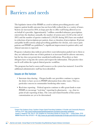# <span id="page-25-0"></span>Barriers and needs

The legislative intent of the PDMP as a tool to inform prescribing practice and improve patient health outcomes has not been fully realized due to a variety of issues. System use increased in 2014, in large part due to office staff being allowed access on behalf of a provider. Approximately 7 million controlled substance prescriptions entered into the database annually, the number of system users (12,142 at the end of 2015) and the number of queries conducted (1,118,201 during 2015) have not resulted in reductions of prerscriptions per patient, doses or duration of prescriptions. If private and public health systems adopt prescribing guidelines for chronic, non-cancer pain patients and PDMP use guidelines,\* a significant improvement in patient safety and clinical outcomes is expected.

Program evaluation data indicate prescribers want information pushed out to them so they are informed when one of their patients is at increased risk for adverse outcomes, but the law does not permit these unsolicited notifications. Prescribers or their delegates have to log into the system and request the information. This practice does not fit well within the typical clinical practice workflow.

The program has had to assess staff resources as the system has matured. A need for additional administrative staff has been identified.

#### Issues on the horizon

- Interstate data sharing Oregon health care providers continue to express the desire to have access to PDMP information from other states. This is a particular concern in communities bordering other states.
- Real-time reporting Federal agencies continue to offer grant funds to state PDMPs to encourage "real-time" reporting by pharmacies  $-e.g.,$  close-topoint-of-sale reporting of data. The costs and related benefits of this system customization are yet to be determined.

<sup>\*</sup>Oregon Pain Guidance Group. Southern Oregon Opioid Prescribing Guidelines: A Provider and Community Resource. February 2014.<http://www.southernoregonopioidmanagement.org/opioid-prescribing-guidelines>/. Dowell D, Haegerich TM, Chou R. CDC Guideline for Prescribing Opioids for Chronic Pain — United States, 2016. MMWR Recomm Rep 2016;65:1–49. <http://www.cdc.gov/media/modules/dpk/2016/dpk-pod/rr6501e1er-ebook.pdf>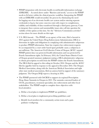- PDMP integration with electronic health record/health information exchange (EHR/HIE) – As noted above under "Barriers and needs," access to the PDMP needs to fit better within the clinical practice workflow. Integrating the PDMP with an EHR/HIE would streamline the process by eliminating the need for logging out of an electronic health care system and/or entering separate credentials to log in, but some concerns exist with respect to completeness, validity and reliability of data transferred through a third party gateway. Costs to integrate these systems and sustainability issues also call into question the viability of this option at this time. See the "Advisory Commission activities" section above for more details on this topic.
- U.S. DEA lawsuit The PDMP, as an agency of the state, filed a lawsuit in 2012 against the United States Drug Enforcement Administration (DEA) to determine its rights and obligations in complying with administrative subpoenas to produce PDMP information. State law requires law enforcement requests be accompanied by a court order based upon probable cause; a subpoena is not sufficient. The American Civil Liberties Union of Oregon (ACLU) argued PDMP patient data was protected health information and was protected by Fourth Amendment rights. In February 2014, the United States District Court of Oregon granted summary judgment stating a DEA administrative subpoena to obtain prescription records from the PDMP violates the Fourth Amendment. The DEA filed its appeal to this ruling in October 2014. Oregon and the ACLU filed its appellee brief in response to the appeal in December 2014. The Oregon Medical Association, along with the American Medical Association and eight other state medical associations, filed an amicus brief in support of the summary judgment. The Oregon DOJ expects a hearing in 2016.
- The PDMP partnered with OrCRM to support six regional Prescription Drug Abuse Summits in Oregon in 2015. The summits convened leaders of CCOs, practitioners, treatment specialists, law enforcement and other local stakeholders. The PDMP sought to complete three objectives with local attendees:
	- a. Define a local plan to implement PDMP use guidelines;
	- b. Define a local plan to implement prescribing guidelines; and
	- c. Identify local members for a community action team and a pain guidance workgroup.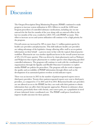# <span id="page-27-0"></span>Discussion

The Oregon Prescription Drug Monitoring Program (PDMP) continued to make progress to increase system utilization in 2015. Efforts to enroll the 4,000 most frequent prescribers of controlled substance medications, including one-on-one outreach for the first few months of the year along with an outreach effort in the last two months of the year, resulted in 2,864 (72%) with PDMP accounts. This effort to increase access and system utilization will continue to be a high priority for the program.

Overall system use increased by 38% to more than 1.1 million patient queries by health care providers and pharmacists. This shift indicates health care providers are taking advantage of the legislative change allowing office staff to access patient information on their behalf – a process more in line with the typical clinical practice workflow. Pharmacist use was another significant factor in the overall system increase of 31% (115,133 more queries). This was driven by chain pharmacies such as Walmart and Walgreens that require pharmacists to conduct queries when dispensing specified controlled substances. The program will continue to work with the coordinated care organizations through the Quality and Health Outcomes Committee to explore similar PDMP use policies for prescribers. The program will also work to improve the quality and accessibility of PDMP information through efforts such as the development of an automated patient overdose at-risk indicator report.

There was an increase in 2015 in the number of patient-requested reports sent to third-party providers. Twenty-three patient-requested reports were sent to third-party providers, as compared to 17 in 2014 and 24 in 2013. Behavioral health care providers are not allowed access to the PDMP, but they can work with their patients to obtain information that can affect their therapeutic approaches. Patients in substance abuse treatment, particularly those with chronic, non-cancer pain, are a population in need of more informed, better coordinated care. The PDMP could prove beneficial to improve health outcomes for these patients.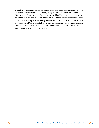Evaluation research and quality assurance efforts are valuable for informing program operations and understanding and mitigating problems associated with system use. Work conducted with partners illustrates how the PDMP data can be used to assess the impact that system use has on clinical practice. However, more needs to be done to assess how this impact may affect patient health outcomes. Work with researchers to evaluate the PDMP is essential to this end, but additional staff or legislative action is needed to provide researchers with the data necessary to conduct informative program and system evaluation research.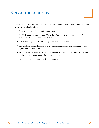# <span id="page-29-0"></span>Recommendations

Recommendations were developed from the information gathered from business operations, reports and evaluation efforts.

- Assess and address PDMP staff resource needs.
- Establish a new target to sign up 95% of the 4,000 most frequent prescribers of controlled substance to access the PDMP.
- Initiate the adoption of PDMP use guidelines in health systems.
- Increase the number of substance abuse treatment providers using voluntary patient reports in treatment plans.
- Monitor the completeness, validity and reliability of the data integration solution with the Emergency Department Information Exchange.
- Conduct a biennial customer satisfaction survey.